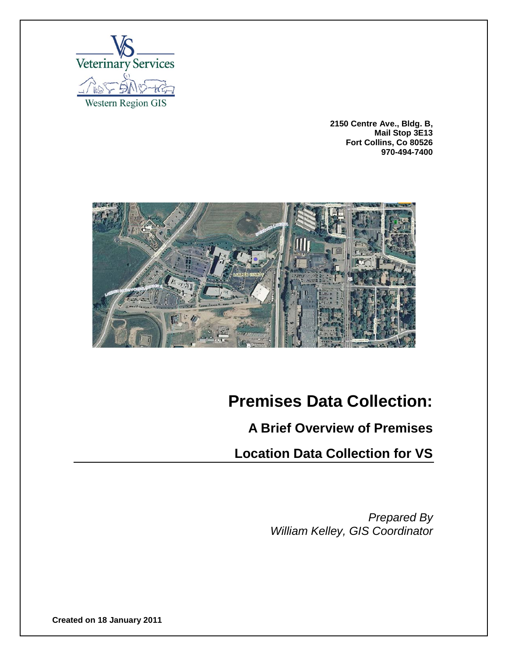

**2150 Centre Ave., Bldg. B, Mail Stop 3E13 Fort Collins, Co 80526 970-494-7400**



# **Premises Data Collection:**

**A Brief Overview of Premises**

**Location Data Collection for VS**

*Prepared By William Kelley, GIS Coordinator*

**Created on 18 January 2011**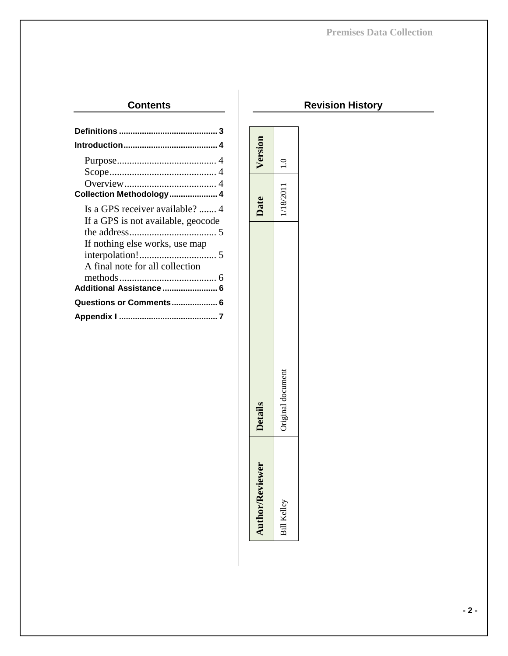#### **Contents**

| Collection Methodology 4           |  |
|------------------------------------|--|
| Is a GPS receiver available?  4    |  |
| If a GPS is not available, geocode |  |
|                                    |  |
| If nothing else works, use map     |  |
|                                    |  |
| A final note for all collection    |  |
|                                    |  |
| Additional Assistance 6            |  |
| Questions or Comments 6            |  |
|                                    |  |
|                                    |  |

| Bill Kelley | Iriginal document | /18/2011 | $\frac{1}{1}$ |  |
|-------------|-------------------|----------|---------------|--|
|             | <b>Details</b>    | Date     | Version       |  |

### **Revision History**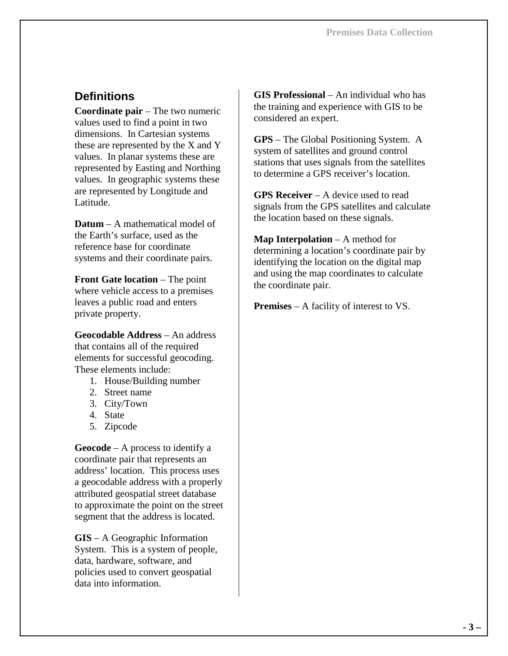### <span id="page-2-0"></span>**Definitions**

**Coordinate pair** – The two numeric values used to find a point in two dimensions. In Cartesian systems these are represented by the X and Y values. In planar systems these are represented by Easting and Northing values. In geographic systems these are represented by Longitude and Latitude.

**Datum** – A mathematical model of the Earth's surface, used as the reference base for coordinate systems and their coordinate pairs.

**Front Gate location** – The point where vehicle access to a premises leaves a public road and enters private property.

**Geocodable Address** – An address that contains all of the required elements for successful geocoding. These elements include:

- 1. House/Building number
- 2. Street name
- 3. City/Town
- 4. State
- 5. Zipcode

**Geocode** – A process to identify a coordinate pair that represents an address' location. This process uses a geocodable address with a properly attributed geospatial street database to approximate the point on the street segment that the address is located.

**GIS** – A Geographic Information System. This is a system of people, data, hardware, software, and policies used to convert geospatial data into information.

**GIS Professional** – An individual who has the training and experience with GIS to be considered an expert.

**GPS** – The Global Positioning System. A system of satellites and ground control stations that uses signals from the satellites to determine a GPS receiver's location.

**GPS Receiver** – A device used to read signals from the GPS satellites and calculate the location based on these signals.

**Map Interpolation** – A method for determining a location's coordinate pair by identifying the location on the digital map and using the map coordinates to calculate the coordinate pair.

**Premises** – A facility of interest to VS.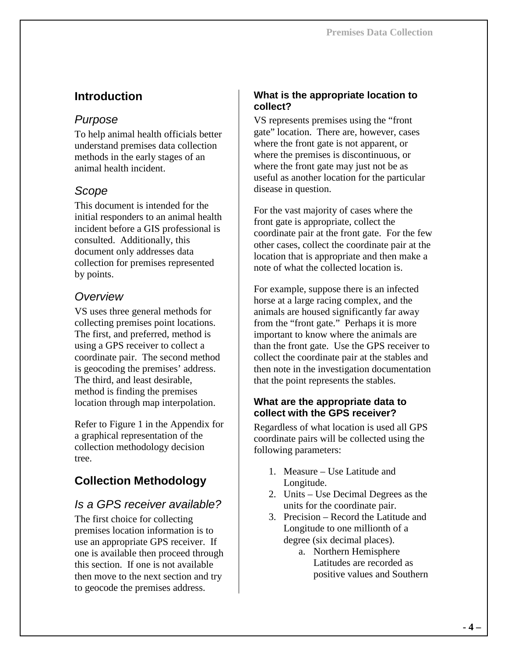# <span id="page-3-0"></span>**Introduction**

### <span id="page-3-1"></span>*Purpose*

To help animal health officials better understand premises data collection methods in the early stages of an animal health incident.

## <span id="page-3-2"></span>*Scope*

This document is intended for the initial responders to an animal health incident before a GIS professional is consulted. Additionally, this document only addresses data collection for premises represented by points.

### <span id="page-3-3"></span>*Overview*

VS uses three general methods for collecting premises point locations. The first, and preferred, method is using a GPS receiver to collect a coordinate pair. The second method is geocoding the premises' address. The third, and least desirable, method is finding the premises location through map interpolation.

Refer to Figure 1 in the Appendix for a graphical representation of the collection methodology decision tree.

# <span id="page-3-4"></span>**Collection Methodology**

### <span id="page-3-5"></span>*Is a GPS receiver available?*

The first choice for collecting premises location information is to use an appropriate GPS receiver. If one is available then proceed through this section. If one is not available then move to the next section and try to geocode the premises address.

#### **What is the appropriate location to collect?**

VS represents premises using the "front gate" location. There are, however, cases where the front gate is not apparent, or where the premises is discontinuous, or where the front gate may just not be as useful as another location for the particular disease in question.

For the vast majority of cases where the front gate is appropriate, collect the coordinate pair at the front gate. For the few other cases, collect the coordinate pair at the location that is appropriate and then make a note of what the collected location is.

For example, suppose there is an infected horse at a large racing complex, and the animals are housed significantly far away from the "front gate." Perhaps it is more important to know where the animals are than the front gate. Use the GPS receiver to collect the coordinate pair at the stables and then note in the investigation documentation that the point represents the stables.

#### **What are the appropriate data to collect with the GPS receiver?**

Regardless of what location is used all GPS coordinate pairs will be collected using the following parameters:

- 1. Measure Use Latitude and Longitude.
- 2. Units Use Decimal Degrees as the units for the coordinate pair.
- 3. Precision Record the Latitude and Longitude to one millionth of a degree (six decimal places).
	- a. Northern Hemisphere Latitudes are recorded as positive values and Southern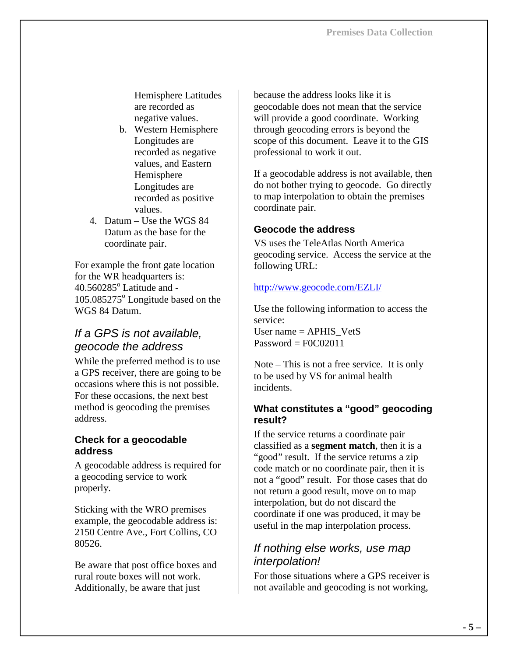Hemisphere Latitudes are recorded as negative values.

- b. Western Hemisphere Longitudes are recorded as negative values, and Eastern Hemisphere Longitudes are recorded as positive values.
- 4. Datum Use the WGS 84 Datum as the base for the coordinate pair.

For example the front gate location for the WR headquarters is:  $40.560285^{\circ}$  Latitude and - $105.085275^{\circ}$  Longitude based on the WGS 84 Datum.

### <span id="page-4-0"></span>*If a GPS is not available, geocode the address*

While the preferred method is to use a GPS receiver, there are going to be occasions where this is not possible. For these occasions, the next best method is geocoding the premises address.

#### **Check for a geocodable address**

A geocodable address is required for a geocoding service to work properly.

Sticking with the WRO premises example, the geocodable address is: 2150 Centre Ave., Fort Collins, CO 80526.

Be aware that post office boxes and rural route boxes will not work. Additionally, be aware that just

because the address looks like it is geocodable does not mean that the service will provide a good coordinate. Working through geocoding errors is beyond the scope of this document. Leave it to the GIS professional to work it out.

If a geocodable address is not available, then do not bother trying to geocode. Go directly to map interpolation to obtain the premises coordinate pair.

#### **Geocode the address**

VS uses the TeleAtlas North America geocoding service. Access the service at the following URL:

#### <http://www.geocode.com/EZLI/>

Use the following information to access the service: User name = APHIS\_VetS  $Password = F0C02011$ 

Note – This is not a free service. It is only to be used by VS for animal health incidents.

#### **What constitutes a "good" geocoding result?**

If the service returns a coordinate pair classified as a **segment match**, then it is a "good" result. If the service returns a zip code match or no coordinate pair, then it is not a "good" result. For those cases that do not return a good result, move on to map interpolation, but do not discard the coordinate if one was produced, it may be useful in the map interpolation process.

#### <span id="page-4-1"></span>*If nothing else works, use map interpolation!*

For those situations where a GPS receiver is not available and geocoding is not working,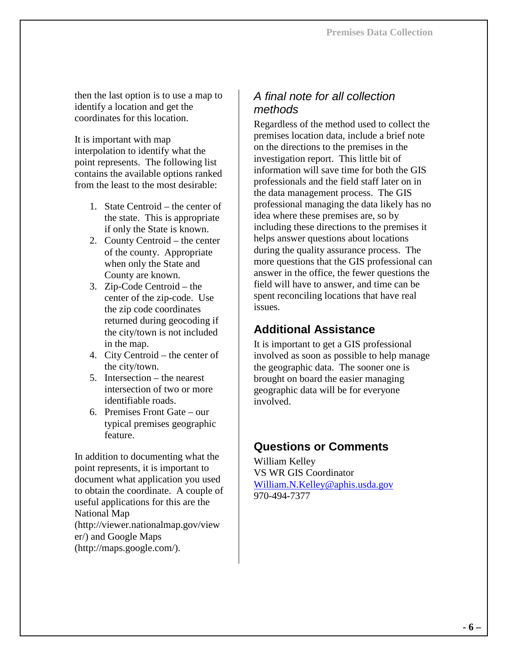then the last option is to use a map to identify a location and get the coordinates for this location.

It is important with map interpolation to identify what the point represents. The following list contains the available options ranked from the least to the most desirable:

- 1. State Centroid the center of the state. This is appropriate if only the State is known.
- 2. County Centroid the center of the county. Appropriate when only the State and County are known.
- 3. Zip-Code Centroid the center of the zip-code. Use the zip code coordinates returned during geocoding if the city/town is not included in the map.
- 4. City Centroid the center of the city/town.
- 5. Intersection the nearest intersection of two or more identifiable roads.
- 6. Premises Front Gate our typical premises geographic feature.

In addition to documenting what the point represents, it is important to document what application you used to obtain the coordinate. A couple of useful applications for this are the National Map (http://viewer.nationalmap.gov/view er/) and Google Maps (http://maps.google.com/).

# <span id="page-5-0"></span>*A final note for all collection methods*

Regardless of the method used to collect the premises location data, include a brief note on the directions to the premises in the investigation report. This little bit of information will save time for both the GIS professionals and the field staff later on in the data management process. The GIS professional managing the data likely has no idea where these premises are, so by including these directions to the premises it helps answer questions about locations during the quality assurance process. The more questions that the GIS professional can answer in the office, the fewer questions the field will have to answer, and time can be spent reconciling locations that have real issues.

# <span id="page-5-1"></span>**Additional Assistance**

It is important to get a GIS professional involved as soon as possible to help manage the geographic data. The sooner one is brought on board the easier managing geographic data will be for everyone involved.

# <span id="page-5-2"></span>**Questions or Comments**

William Kelley VS WR GIS Coordinator [William.N.Kelley@aphis.usda.gov](mailto:William.N.Kelley@aphis.usda.gov) 970-494-7377